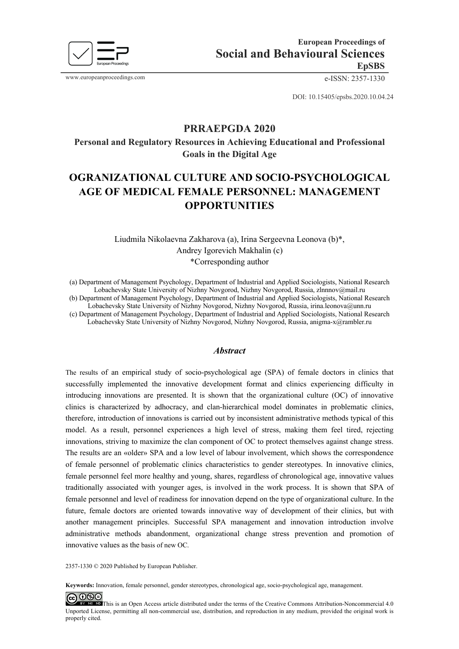

www.europeanproceedings.com e-ISSN: 2357-1330

DOI: 10.15405/epsbs.2020.10.04.24

# **PRRAEPGDA 2020**

**Personal and Regulatory Resources in Achieving Educational and Professional Goals in the Digital Age**

# **OGRANIZATIONAL CULTURE AND SOCIO-PSYCHOLOGICAL AGE OF MEDICAL FEMALE PERSONNEL: MANAGEMENT OPPORTUNITIES**

Liudmila Nikolaevna Zakharova (a), Irina Sergeevna Leonova (b)\*, Andrey Igorevich Makhalin (c) \*Corresponding author

(a) Department of Management Psychology, Department of Industrial and Applied Sociologists, National Research Lobachevsky State University of Nizhny Novgorod, Nizhny Novgorod, Russia, zlnnnov@mail.ru (b) Department of Management Psychology, Department of Industrial and Applied Sociologists, National Research Lobachevsky State University of Nizhny Novgorod, Nizhny Novgorod, Russia, irina.leonova@unn.ru (c) Department of Management Psychology, Department of Industrial and Applied Sociologists, National Research

Lobachevsky State University of Nizhny Novgorod, Nizhny Novgorod, Russia, anigma-x@rambler.ru

#### *Abstract*

The results of an empirical study of socio-psychological age (SPA) of female doctors in clinics that successfully implemented the innovative development format and clinics experiencing difficulty in introducing innovations are presented. It is shown that the organizational culture (OC) of innovative clinics is characterized by adhocracy, and clan-hierarchical model dominates in problematic clinics, therefore, introduction of innovations is carried out by inconsistent administrative methods typical of this model. As a result, personnel experiences a high level of stress, making them feel tired, rejecting innovations, striving to maximize the clan component of OC to protect themselves against change stress. The results are an «older» SPA and a low level of labour involvement, which shows the correspondence of female personnel of problematic clinics characteristics to gender stereotypes. In innovative clinics, female personnel feel more healthy and young, shares, regardless of chronological age, innovative values traditionally associated with younger ages, is involved in the work process. It is shown that SPA of female personnel and level of readiness for innovation depend on the type of organizational culture. In the future, female doctors are oriented towards innovative way of development of their clinics, but with another management principles. Successful SPA management and innovation introduction involve administrative methods abandonment, organizational change stress prevention and promotion of innovative values as the basis of new OC.

2357-1330 © 2020 Published by European Publisher.

**Keywords:** Innovation, female personnel, gender stereotypes, chronological age, socio-psychological age, management.

 $@@@@$ **EX RC RC** This is an Open Access article distributed under the terms of the Creative Commons Attribution-Noncommercial 4.0 Unported License, permitting all non-commercial use, distribution, and reproduction in any medium, provided the original work is properly cited.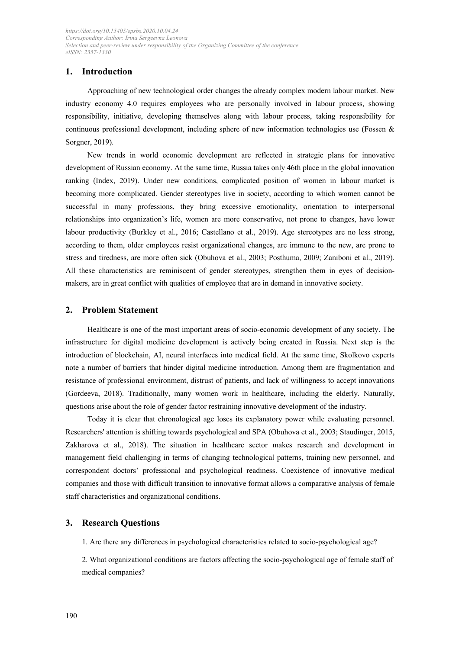# **1. Introduction**

Approaching of new technological order changes the already complex modern labour market. New industry economy 4.0 requires employees who are personally involved in labour process, showing responsibility, initiative, developing themselves along with labour process, taking responsibility for continuous professional development, including sphere of new information technologies use (Fossen & Sorgner, 2019).

New trends in world economic development are reflected in strategic plans for innovative development of Russian economy. At the same time, Russia takes only 46th place in the global innovation ranking (Index, 2019). Under new conditions, complicated position of women in labour market is becoming more complicated. Gender stereotypes live in society, according to which women cannot be successful in many professions, they bring excessive emotionality, orientation to interpersonal relationships into organization's life, women are more conservative, not prone to changes, have lower labour productivity (Burkley et al., 2016; Castellano et al., 2019). Age stereotypes are no less strong, according to them, older employees resist organizational changes, are immune to the new, are prone to stress and tiredness, are more often sick (Obuhova et al., 2003; Posthuma, 2009; Zaniboni et al., 2019). All these characteristics are reminiscent of gender stereotypes, strengthen them in eyes of decisionmakers, are in great conflict with qualities of employee that are in demand in innovative society.

## **2. Problem Statement**

Healthcare is one of the most important areas of socio-economic development of any society. The infrastructure for digital medicine development is actively being created in Russia. Next step is the introduction of blockchain, AI, neural interfaces into medical field. At the same time, Skolkovo experts note a number of barriers that hinder digital medicine introduction. Among them are fragmentation and resistance of professional environment, distrust of patients, and lack of willingness to accept innovations (Gordeeva, 2018). Traditionally, many women work in healthcare, including the elderly. Naturally, questions arise about the role of gender factor restraining innovative development of the industry.

Today it is clear that chronological age loses its explanatory power while evaluating personnel. Researchers' attention is shifting towards psychological and SPA (Obuhova et al., 2003; Staudinger, 2015, Zakharova et al., 2018). The situation in healthcare sector makes research and development in management field challenging in terms of changing technological patterns, training new personnel, and correspondent doctors' professional and psychological readiness. Coexistence of innovative medical companies and those with difficult transition to innovative format allows a comparative analysis of female staff characteristics and organizational conditions.

## **3. Research Questions**

1. Are there any differences in psychological characteristics related to socio-psychological age?

2. What organizational conditions are factors affecting the socio-psychological age of female staff of medical companies?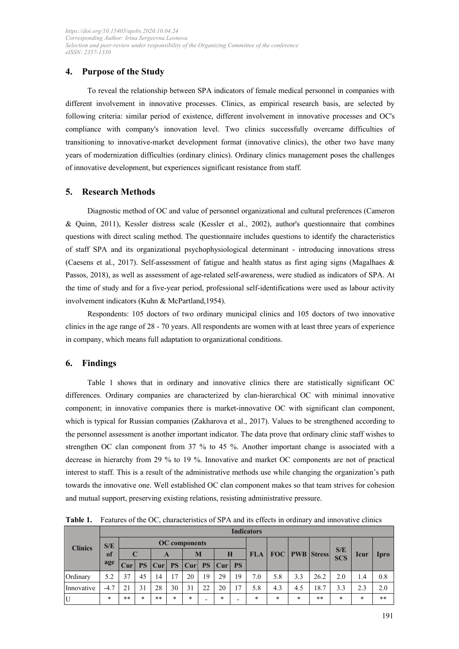# **4. Purpose of the Study**

To reveal the relationship between SPA indicators of female medical personnel in companies with different involvement in innovative processes. Clinics, as empirical research basis, are selected by following criteria: similar period of existence, different involvement in innovative processes and OC's compliance with company's innovation level. Two clinics successfully overcame difficulties of transitioning to innovative-market development format (innovative clinics), the other two have many years of modernization difficulties (ordinary clinics). Ordinary clinics management poses the challenges of innovative development, but experiences significant resistance from staff.

### **5. Research Methods**

Diagnostic method of OC and value of personnel organizational and cultural preferences (Cameron & Quinn, 2011), Kessler distress scale (Kessler et al., 2002), author's questionnaire that combines questions with direct scaling method. The questionnaire includes questions to identify the characteristics of staff SPA and its organizational psychophysiological determinant - introducing innovations stress (Caesens et al., 2017). Self-assessment of fatigue and health status as first aging signs (Magalhaes & Passos, 2018), as well as assessment of age-related self-awareness, were studied as indicators of SPA. At the time of study and for a five-year period, professional self-identifications were used as labour activity involvement indicators (Kuhn & McPartland,1954).

Respondents: 105 doctors of two ordinary municipal clinics and 105 doctors of two innovative clinics in the age range of 28 - 70 years. All respondents are women with at least three years of experience in company, which means full adaptation to organizational conditions.

# **6. Findings**

Table 1 shows that in ordinary and innovative clinics there are statistically significant OC differences. Ordinary companies are characterized by clan-hierarchical OC with minimal innovative component; in innovative companies there is market-innovative OC with significant clan component, which is typical for Russian companies (Zakharova et al., 2017). Values to be strengthened according to the personnel assessment is another important indicator. The data prove that ordinary clinic staff wishes to strengthen OC clan component from 37 % to 45 %. Another important change is associated with a decrease in hierarchy from 29 % to 19 %. Innovative and market OC components are not of practical interest to staff. This is a result of the administrative methods use while changing the organization's path towards the innovative one. Well established OC clan component makes so that team strives for cohesion and mutual support, preserving existing relations, resisting administrative pressure.

| <b>Clinics</b> |           |                      |           |      |        |                  |           |        |           |            |        |                           |       |                   |             |             |
|----------------|-----------|----------------------|-----------|------|--------|------------------|-----------|--------|-----------|------------|--------|---------------------------|-------|-------------------|-------------|-------------|
|                | S/E       | <b>OC</b> components |           |      |        |                  |           |        |           |            |        |                           |       |                   |             |             |
|                | of<br>age | $\mathbf C$          |           | A    |        | M                |           | H      |           | <b>FLA</b> |        | <b>FOC</b>   PWB   Stress |       | S/E<br><b>SCS</b> | <b>lcur</b> | <b>Ipro</b> |
|                |           | Cur                  | <b>PS</b> | Curl |        | PS   <b>C</b> ur | <b>PS</b> | Cur    | <b>PS</b> |            |        |                           |       |                   |             |             |
| Ordinary       | 5.2       | 37                   | 45        | 14   |        | 20               | 19        | 29     | 19        | 7.0        | 5.8    | 3.3                       | 26.2  | 2.0               | 1.4         | 0.8         |
| Innovative     | $-4.7$    | 21                   | 31        | 28   | 30     | 31               | 22        | 20     | 17        | 5.8        | 4.3    | 4.5                       | 18.7  | 3.3               | 2.3         | 2.0         |
| IU             | *         | **                   | $\ast$    | **   | $\ast$ | $*$              | ۰         | $\ast$ | -         | $\star$    | $\ast$ | *                         | $* *$ | $\ast$            | $\star$     | $**$        |

**Table 1.** Features of the OC, characteristics of SPA and its effects in ordinary and innovative clinics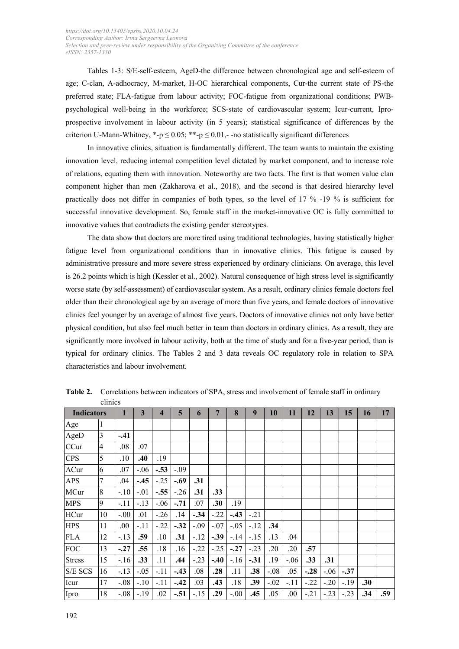Tables 1-3: S/E-self-esteem, AgeD-the difference between chronological age and self-esteem of age; C-clan, A-adhocracy, M-market, H-OC hierarchical components, Cur-the current state of PS-the preferred state; FLA-fatigue from labour activity; FOC-fatigue from organizational conditions; PWBpsychological well-being in the workforce; SCS-state of cardiovascular system; Icur-current, Iproprospective involvement in labour activity (in 5 years); statistical significance of differences by the criterion U-Mann-Whitney, \*-p  $\leq 0.05$ ; \*\*-p  $\leq 0.01$ ,--no statistically significant differences

In innovative clinics, situation is fundamentally different. The team wants to maintain the existing innovation level, reducing internal competition level dictated by market component, and to increase role of relations, equating them with innovation. Noteworthy are two facts. The first is that women value clan component higher than men (Zakharova et al., 2018), and the second is that desired hierarchy level practically does not differ in companies of both types, so the level of 17 % -19 % is sufficient for successful innovative development. So, female staff in the market-innovative OC is fully committed to innovative values that contradicts the existing gender stereotypes.

The data show that doctors are more tired using traditional technologies, having statistically higher fatigue level from organizational conditions than in innovative clinics. This fatigue is caused by administrative pressure and more severe stress experienced by ordinary clinicians. On average, this level is 26.2 points which is high (Kessler et al., 2002). Natural consequence of high stress level is significantly worse state (by self-assessment) of cardiovascular system. As a result, ordinary clinics female doctors feel older than their chronological age by an average of more than five years, and female doctors of innovative clinics feel younger by an average of almost five years. Doctors of innovative clinics not only have better physical condition, but also feel much better in team than doctors in ordinary clinics. As a result, they are significantly more involved in labour activity, both at the time of study and for a five-year period, than is typical for ordinary clinics. The Tables 2 and 3 data reveals OC regulatory role in relation to SPA characteristics and labour involvement.

| <b>Indicators</b> |                | 1      | 3      | $\overline{\mathbf{4}}$ | 5      | 6      | 7      | 8      | 9      | 10     | 11     | 12     | 13     | 15     | 16  | 17  |
|-------------------|----------------|--------|--------|-------------------------|--------|--------|--------|--------|--------|--------|--------|--------|--------|--------|-----|-----|
| Age               | 1              |        |        |                         |        |        |        |        |        |        |        |        |        |        |     |     |
| AgeD              | 3              | $-.41$ |        |                         |        |        |        |        |        |        |        |        |        |        |     |     |
| CCur              | $\overline{4}$ | .08    | .07    |                         |        |        |        |        |        |        |        |        |        |        |     |     |
| <b>CPS</b>        | 5              | .10    | .40    | .19                     |        |        |        |        |        |        |        |        |        |        |     |     |
| ACur              | 6              | .07    | $-.06$ | $-.53$                  | $-.09$ |        |        |        |        |        |        |        |        |        |     |     |
| <b>APS</b>        | $\tau$         | .04    | $-.45$ | $-25$                   | $-.69$ | .31    |        |        |        |        |        |        |        |        |     |     |
| MCur              | 8              | $-.10$ | $-.01$ | $-.55$                  | $-.26$ | .31    | .33    |        |        |        |        |        |        |        |     |     |
| <b>MPS</b>        | 9              | -.11   | $-.13$ | $-.06$                  | $-.71$ | .07    | .30    | .19    |        |        |        |        |        |        |     |     |
| HCur              | 10             | $-.00$ | .01    | $-26$                   | .14    | $-.34$ | $-.22$ | $-.43$ | $-.21$ |        |        |        |        |        |     |     |
| <b>HPS</b>        | 11             | .00    | $-.11$ | $-.22$                  | $-.32$ | $-.09$ | $-.07$ | $-.05$ | $-.12$ | .34    |        |        |        |        |     |     |
| <b>FLA</b>        | 12             | $-.13$ | .59    | .10                     | .31    | $-.12$ | $-.39$ | $-.14$ | $-.15$ | .13    | .04    |        |        |        |     |     |
| <b>FOC</b>        | 13             | $-.27$ | .55    | .18                     | .16    | $-.22$ | $-.25$ | $-.27$ | $-.23$ | .20    | .20    | .57    |        |        |     |     |
| <b>Stress</b>     | 15             | $-16$  | .33    | .11                     | .44    | $-.23$ | $-.40$ | $-.16$ | $-.31$ | .19    | $-.06$ | .33    | .31    |        |     |     |
| S/E SCS           | 16             | $-.13$ | $-.05$ | $-.11$                  | $-.43$ | .08    | .28    | .11    | .38    | $-.08$ | .05    | $-.28$ | $-.06$ | $-37$  |     |     |
| Icur              | 17             | $-.08$ | $-.10$ | $-.11$                  | $-.42$ | .03    | .43    | .18    | .39    | $-.02$ | $-.11$ | $-.22$ | $-.20$ | $-.19$ | .30 |     |
| Ipro              | 18             | $-.08$ | $-.19$ | .02                     | $-.51$ | $-.15$ | .29    | $-.00$ | .45    | .05    | .00    | $-.21$ | $-.23$ | $-.23$ | .34 | .59 |

**Table 2.** Correlations between indicators of SPA, stress and involvement of female staff in ordinary clinics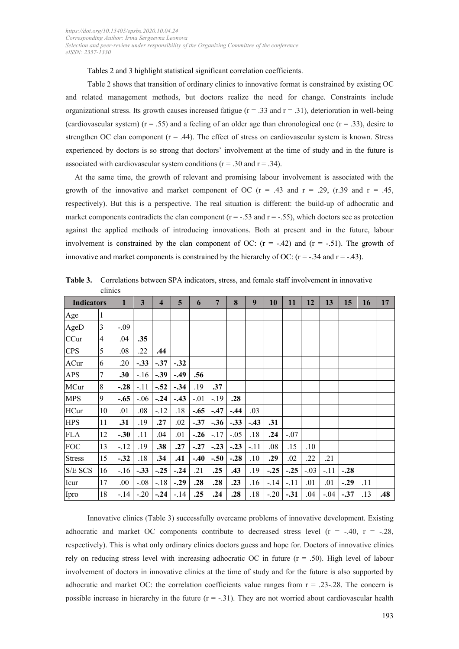#### Tables 2 and 3 highlight statistical significant correlation coefficients.

Table 2 shows that transition of ordinary clinics to innovative format is constrained by existing OC and related management methods, but doctors realize the need for change. Constraints include organizational stress. Its growth causes increased fatigue ( $r = .33$  and  $r = .31$ ), deterioration in well-being (cardiovascular system) ( $r = .55$ ) and a feeling of an older age than chronological one ( $r = .33$ ), desire to strengthen OC clan component  $(r = .44)$ . The effect of stress on cardiovascular system is known. Stress experienced by doctors is so strong that doctors' involvement at the time of study and in the future is associated with cardiovascular system conditions ( $r = .30$  and  $r = .34$ ).

At the same time, the growth of relevant and promising labour involvement is associated with the growth of the innovative and market component of OC ( $r = .43$  and  $r = .29$ , (r.39 and  $r = .45$ , respectively). But this is a perspective. The real situation is different: the build-up of adhocratic and market components contradicts the clan component ( $r = -.53$  and  $r = -.55$ ), which doctors see as protection against the applied methods of introducing innovations. Both at present and in the future, labour involvement is constrained by the clan component of OC:  $(r = -.42)$  and  $(r = -.51)$ . The growth of innovative and market components is constrained by the hierarchy of OC:  $(r = -.34$  and  $r = -.43)$ .

| <b>Indicators</b> |                | 1      | 3      | 4      | 5      | 6      | $7\phantom{.0}$ | 8      | 9      | 10     | 11     | 12     | 13     | 15     | 16  | 17  |
|-------------------|----------------|--------|--------|--------|--------|--------|-----------------|--------|--------|--------|--------|--------|--------|--------|-----|-----|
| Age               | $\vert$ 1      |        |        |        |        |        |                 |        |        |        |        |        |        |        |     |     |
| AgeD              | $\overline{3}$ | $-.09$ |        |        |        |        |                 |        |        |        |        |        |        |        |     |     |
| CCur              | $\overline{4}$ | .04    | .35    |        |        |        |                 |        |        |        |        |        |        |        |     |     |
| <b>CPS</b>        | 5              | .08    | .22    | .44    |        |        |                 |        |        |        |        |        |        |        |     |     |
| ACur              | 6              | .20    | $-.33$ | $-.37$ | $-.32$ |        |                 |        |        |        |        |        |        |        |     |     |
| <b>APS</b>        | 7              | .30    | $-.16$ | $-.39$ | $-.49$ | .56    |                 |        |        |        |        |        |        |        |     |     |
| MCur              | 8              | $-.28$ | $-.11$ | $-.52$ | $-.34$ | .19    | .37             |        |        |        |        |        |        |        |     |     |
| <b>MPS</b>        | 9              | $-.65$ | $-.06$ | $-.24$ | $-.43$ | $-.01$ | $-19$           | .28    |        |        |        |        |        |        |     |     |
| HCur              | 10             | .01    | .08    | $-.12$ | .18    | $-.65$ | $-.47$          | $-.44$ | .03    |        |        |        |        |        |     |     |
| <b>HPS</b>        | 11             | .31    | .19    | .27    | .02    | $-.37$ | $-.36$          | $-.33$ | $-.43$ | .31    |        |        |        |        |     |     |
| <b>FLA</b>        | 12             | $-.30$ | .11    | .04    | .01    | $-.26$ | $-.17$          | $-.05$ | .18    | .24    | $-.07$ |        |        |        |     |     |
| <b>FOC</b>        | 13             | $-.12$ | .19    | .38    | .27    | $-.27$ | $-.23$          | $-.23$ | $-.11$ | .08    | .15    | .10    |        |        |     |     |
| <b>Stress</b>     | 15             | $-.32$ | .18    | .34    | .41    | $-.40$ | $-.50$          | $-.28$ | .10    | .29    | .02    | .22    | .21    |        |     |     |
| S/E SCS           | 16             | $-.16$ | $-.33$ | $-.25$ | $-.24$ | .21    | .25             | .43    | .19    | $-.25$ | $-.25$ | $-.03$ | $-.11$ | $-.28$ |     |     |
| Icur              | 17             | .00    | $-.08$ | $-.18$ | $-.29$ | .28    | .28             | .23    | .16    | $-.14$ | $-.11$ | .01    | .01    | $-.29$ | .11 |     |
| Ipro              | 18             | $-.14$ | $-.20$ | $-.24$ | $-.14$ | .25    | .24             | .28    | .18    | $-.20$ | $-.31$ | .04    | $-.04$ | $-.37$ | .13 | .48 |

**Table 3.** Correlations between SPA indicators, stress, and female staff involvement in innovative clinics

Innovative clinics (Table 3) successfully overcame problems of innovative development. Existing adhocratic and market OC components contribute to decreased stress level  $(r = -.40, r = -.28,$ respectively). This is what only ordinary clinics doctors guess and hope for. Doctors of innovative clinics rely on reducing stress level with increasing adhocratic OC in future  $(r = .50)$ . High level of labour involvement of doctors in innovative clinics at the time of study and for the future is also supported by adhocratic and market OC: the correlation coefficients value ranges from  $r = .23-.28$ . The concern is possible increase in hierarchy in the future  $(r = -31)$ . They are not worried about cardiovascular health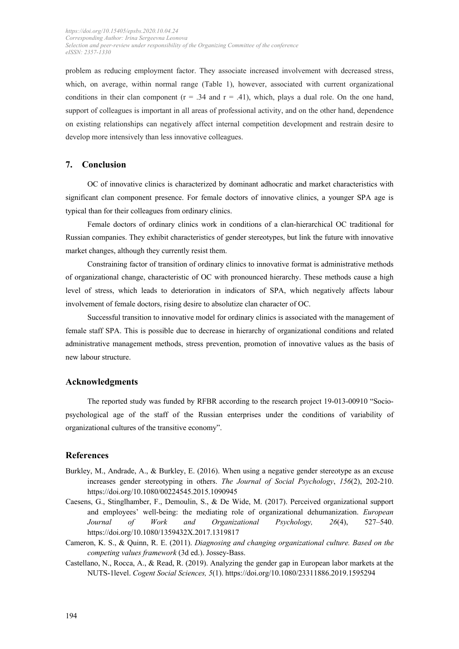problem as reducing employment factor. They associate increased involvement with decreased stress, which, on average, within normal range (Table 1), however, associated with current organizational conditions in their clan component ( $r = .34$  and  $r = .41$ ), which, plays a dual role. On the one hand, support of colleagues is important in all areas of professional activity, and on the other hand, dependence on existing relationships can negatively affect internal competition development and restrain desire to develop more intensively than less innovative colleagues.

## **7. Conclusion**

OC of innovative clinics is characterized by dominant adhocratic and market characteristics with significant clan component presence. For female doctors of innovative clinics, a younger SPA age is typical than for their colleagues from ordinary clinics.

Female doctors of ordinary clinics work in conditions of a clan-hierarchical OC traditional for Russian companies. They exhibit characteristics of gender stereotypes, but link the future with innovative market changes, although they currently resist them.

Constraining factor of transition of ordinary clinics to innovative format is administrative methods of organizational change, characteristic of OC with pronounced hierarchy. These methods cause a high level of stress, which leads to deterioration in indicators of SPA, which negatively affects labour involvement of female doctors, rising desire to absolutize clan character of OC.

Successful transition to innovative model for ordinary clinics is associated with the management of female staff SPA. This is possible due to decrease in hierarchy of organizational conditions and related administrative management methods, stress prevention, promotion of innovative values as the basis of new labour structure.

#### **Acknowledgments**

The reported study was funded by RFBR according to the research project 19-013-00910 "Sociopsychological age of the staff of the Russian enterprises under the conditions of variability of organizational cultures of the transitive economy".

#### **References**

- Burkley, M., Andrade, A., & Burkley, E. (2016). When using a negative gender stereotype as an excuse increases gender stereotyping in others. *The Journal of Social Psychology*, *156*(2), 202-210. https://doi.org/10.1080/00224545.2015.1090945
- Caesens, G., Stinglhamber, F., Demoulin, S., & De Wide, M. (2017). Perceived organizational support and employees' well-being: the mediating role of organizational dehumanization. *European Journal of Work and Organizational Psychology, 26*(4), 527–540. https://doi.org/10.1080/1359432X.2017.1319817
- Cameron, K. S., & Quinn, R. E. (2011). *Diagnosing and changing organizational culture. Based on the competing values framework* (3d ed.). Jossey-Bass.
- Castellano, N., Rocca, A., & Read, R. (2019). Analyzing the gender gap in European labor markets at the NUTS-1level. *Cogent Social Sciences, 5*(1). https://doi.org/10.1080/23311886.2019.1595294